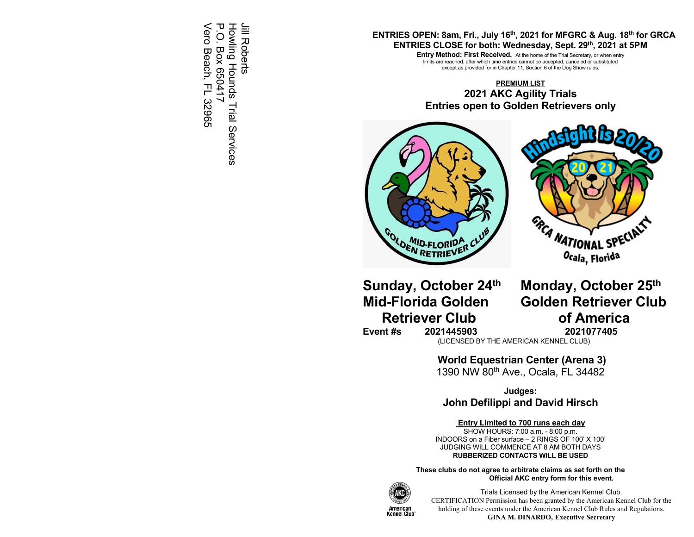Vero Beach, FL 32965 P.O. Box 650417 ᠧ Howling Hounds Trial Services Howling Hounds Trial Services Jill Roberts Jill Roberts Vero Beach, FL 32965  $\overline{O}$ **Box 650417** 

### **ENTRIES OPEN: 8am, Fri., July 16th, 2021 for MFGRC & Aug. 18th for GRCA ENTRIES CLOSE for both: Wednesday, Sept. 29th, 2021 at 5PM**

**Entry Method: First Received.** At the home of the Trial Secretary, or when entry limits are reached, after which time entries cannot be accepted, canceled or substituted except as provided for in Chapter 11, Section 6 of the Dog Show rules.

**PREMIUM LIST 2021 AKC Agility Trials Entries open to Golden Retrievers only** 





**Retriever Club by Common Common Common Common Common Common Common Common Common Common Common Common Common Common Common Common Common Common Common Common Common Common Common Common Common Common Common Common Common** 

**Sunday, October 24th Monday, October 25th Mid-Florida Golden Golden Retriever Club** 

**Event #s 2021445903 2021077405** 

(LICENSED BY THE AMERICAN KENNEL CLUB)

 **World Equestrian Center (Arena 3)** 

1390 NW 80th Ave., Ocala, FL 34482

**Judges: John Defilippi and David Hirsch** 

### **Entry Limited to 700 runs each day**

SHOW HOURS: 7:00 a.m. - 8:00 p.m. INDOORS on a Fiber surface – 2 RINGS OF 100' X 100' JUDGING WILL COMMENCE AT 8 AM BOTH DAYS **RUBBERIZED CONTACTS WILL BE USED** 

**These clubs do not agree to arbitrate claims as set forth on the Official AKC entry form for this event.** 



Trials Licensed by the American Kennel Club. CERTIFICATION Permission has been granted by the American Kennel Club for the holding of these events under the American Kennel Club Rules and Regulations. **GINA M. DINARDO, Executive Secretary**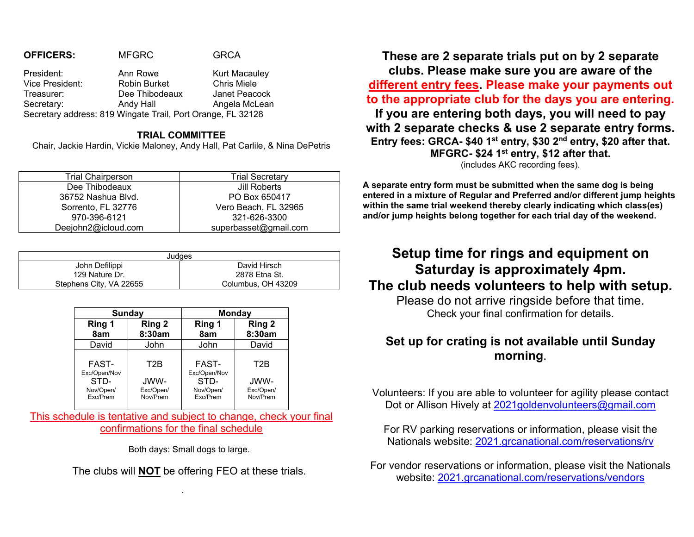#### **OFFICERS:** MFGRC **GRCA**

President: Ann Rowe Kurt Macauley Vice President: Robin Burket Chris Miele Treasurer: Dee Thibodeaux Janet Peacock Secretary: Andy Hall **Angela McLean** Secretary address: 819 Wingate Trail, Port Orange, FL 32128

### **TRIAL COMMITTEE**

Chair, Jackie Hardin, Vickie Maloney, Andy Hall, Pat Carlile, & Nina DePetris

| <b>Trial Chairperson</b> | <b>Trial Secretary</b> |
|--------------------------|------------------------|
| Dee Thibodeaux           | Jill Roberts           |
| 36752 Nashua Blvd.       | PO Box 650417          |
| Sorrento, FL 32776       | Vero Beach, FL 32965   |
| 970-396-6121             | 321-626-3300           |
| Deejohn2@icloud.com      | superbasset@gmail.com  |

|                         | Judges             |
|-------------------------|--------------------|
| John Defilippi          | David Hirsch       |
| 129 Nature Dr.          | 2878 Etna St.      |
| Stephens City, VA 22655 | Columbus, OH 43209 |

| Sunday                        |                               | <b>Monday</b>                 |                               |  |  |
|-------------------------------|-------------------------------|-------------------------------|-------------------------------|--|--|
| Ring 1<br>8am                 | Ring 2<br>8:30am              | Ring 1<br>8am                 | Ring 2<br>8:30am              |  |  |
| David                         | John                          | John                          | David                         |  |  |
| <b>FAST-</b><br>Exc/Open/Nov  | T2B                           | <b>FAST-</b><br>Exc/Open/Nov  | T2B                           |  |  |
| STD-<br>Nov/Open/<br>Exc/Prem | JWW-<br>Exc/Open/<br>Nov/Prem | STD-<br>Nov/Open/<br>Exc/Prem | JWW-<br>Exc/Open/<br>Nov/Prem |  |  |

This schedule is tentative and subject to change, check your final confirmations for the final schedule

Both days: Small dogs to large.

The clubs will **NOT** be offering FEO at these trials.

**These are 2 separate trials put on by 2 separate clubs. Please make sure you are aware of the different entry fees. Please make your payments out to the appropriate club for the days you are entering. If you are entering both days, you will need to pay with 2 separate checks & use 2 separate entry forms. Entry fees: GRCA- \$40 1st entry, \$30 2nd entry, \$20 after that. MFGRC- \$24 1st entry, \$12 after that.**  (includes AKC recording fees).

**A separate entry form must be submitted when the same dog is being entered in a mixture of Regular and Preferred and/or different jump heights within the same trial weekend thereby clearly indicating which class(es) and/or jump heights belong together for each trial day of the weekend.** 

# **Setup time for rings and equipment on Saturday is approximately 4pm. The club needs volunteers to help with setup.**

Please do not arrive ringside before that time. Check your final confirmation for details.

## **Set up for crating is not available until Sunday morning**.

Volunteers: If you are able to volunteer for agility please contact Dot or Allison Hively at 2021goldenvolunteers@gmail.com

For RV parking reservations or information, please visit the Nationals website: 2021.grcanational.com/reservations/rv

For vendor reservations or information, please visit the Nationals website: 2021.grcanational.com/reservations/vendors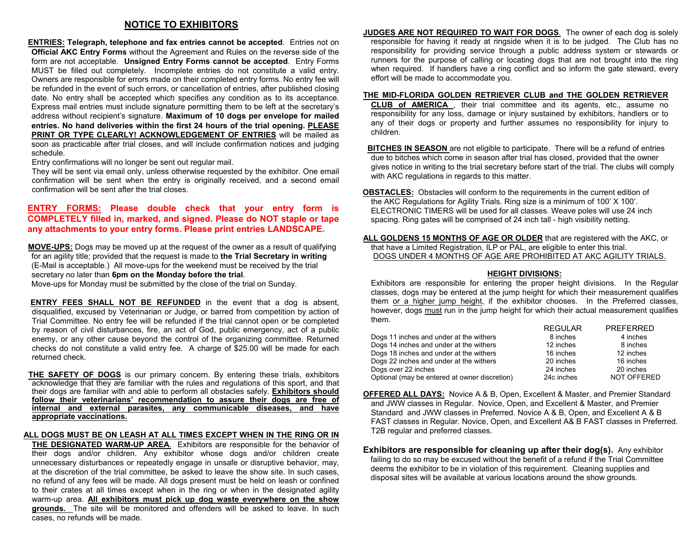### **NOTICE TO EXHIBITORS**

 **ENTRIES: Telegraph, telephone and fax entries cannot be accepted**. Entries not on **Official AKC Entry Forms** without the Agreement and Rules on the reverse side of the form are not acceptable. **Unsigned Entry Forms cannot be accepted**. Entry Forms MUST be filled out completely. Incomplete entries do not constitute a valid entry. Owners are responsible for errors made on their completed entry forms. No entry fee will be refunded in the event of such errors, or cancellation of entries, after published closing date. No entry shall be accepted which specifies any condition as to its acceptance. Express mail entries must include signature permitting them to be left at the secretary's address without recipient's signature. **Maximum of 10 dogs per envelope for mailed entries. No hand deliveries within the first 24 hours of the trial opening. PLEASE PRINT OR TYPE CLEARLY! ACKNOWLEDGEMENT OF ENTRIES** will be mailed as soon as practicable after trial closes, and will include confirmation notices and judging schedule.

Entry confirmations will no longer be sent out regular mail.

They will be sent via email only, unless otherwise requested by the exhibitor. One email confirmation will be sent when the entry is originally received, and a second email confirmation will be sent after the trial closes.

### **ENTRY FORMS: Please double check that your entry form is COMPLETELY filled in, marked, and signed. Please do NOT staple or tape any attachments to your entry forms. Please print entries LANDSCAPE.**

 **MOVE-UPS:** Dogs may be moved up at the request of the owner as a result of qualifying for an agility title; provided that the request is made to **the Trial Secretary in writing** (E-Mail is acceptable.) All move-ups for the weekend must be received by the trial secretary no later than **6pm on the Monday before the trial**.

Move-ups for Monday must be submitted by the close of the trial on Sunday.

 **ENTRY FEES SHALL NOT BE REFUNDED** in the event that a dog is absent, disqualified, excused by Veterinarian or Judge, or barred from competition by action of Trial Committee. No entry fee will be refunded if the trial cannot open or be completed by reason of civil disturbances, fire, an act of God, public emergency, act of a public enemy, or any other cause beyond the control of the organizing committee. Returned checks do not constitute a valid entry fee. A charge of \$25.00 will be made for each returned check.

 **THE SAFETY OF DOGS** is our primary concern. By entering these trials, exhibitors acknowledge that they are familiar with the rules and regulations of this sport, and that their dogs are familiar with and able to perform all obstacles safely. **Exhibitors should follow their veterinarians' recommendation to assure their dogs are free of internal and external parasites, any communicable diseases, and have appropriate vaccinations.**

### **ALL DOGS MUST BE ON LEASH AT ALL TIMES EXCEPT WHEN IN THE RING OR IN**

**THE DESIGNATED WARM-UP AREA**. Exhibitors are responsible for the behavior of their dogs and/or children. Any exhibitor whose dogs and/or children create unnecessary disturbances or repeatedly engage in unsafe or disruptive behavior, may, at the discretion of the trial committee, be asked to leave the show site. In such cases, no refund of any fees will be made. All dogs present must be held on leash or confined to their crates at all times except when in the ring or when in the designated agility warm-up area. **All exhibitors must pick up dog waste everywhere on the show grounds.** The site will be monitored and offenders will be asked to leave. In such cases, no refunds will be made.

**JUDGES ARE NOT REQUIRED TO WAIT FOR DOGS**. The owner of each dog is solely responsible for having it ready at ringside when it is to be judged. The Club has no responsibility for providing service through a public address system or stewards or runners for the purpose of calling or locating dogs that are not brought into the ring when required. If handlers have a ring conflict and so inform the gate steward, every effort will be made to accommodate you.

#### **THE MID-FLORIDA GOLDEN RETRIEVER CLUB and THE GOLDEN RETRIEVER**

**CLUB of AMERICA** , their trial committee and its agents, etc., assume no responsibility for any loss, damage or injury sustained by exhibitors, handlers or to any of their dogs or property and further assumes no responsibility for injury to children.

 **BITCHES IN SEASON** are not eligible to participate. There will be a refund of entries due to bitches which come in season after trial has closed, provided that the owner gives notice in writing to the trial secretary before start of the trial. The clubs will comply with AKC regulations in regards to this matter.

**OBSTACLES:** Obstacles will conform to the requirements in the current edition of the AKC Regulations for Agility Trials. Ring size is a minimum of 100' X 100'. ELECTRONIC TIMERS will be used for all classes. Weave poles will use 24 inch spacing. Ring gates will be comprised of 24 inch tall - high visibility netting.

**ALL GOLDENS 15 MONTHS OF AGE OR OLDER** that are registered with the AKC, or that have a Limited Registration, ILP or PAL, are eligible to enter this trial. DOGS UNDER 4 MONTHS OF AGE ARE PROHIBITED AT AKC AGILITY TRIALS.

#### **HEIGHT DIVISIONS:**

Exhibitors are responsible for entering the proper height divisions. In the Regular classes, dogs may be entered at the jump height for which their measurement qualifies them or a higher jump height, if the exhibitor chooses. In the Preferred classes, however, dogs must run in the jump height for which their actual measurement qualifies them. REGULAR PREFERRED

| 11 L J J L 1 11 1 |                    |
|-------------------|--------------------|
| 8 inches          | 4 inches           |
| 12 inches         | 8 inches           |
| 16 inches         | 12 inches          |
| 20 inches         | 16 inches          |
| 24 inches         | 20 inches          |
| 24c inches        | <b>NOT OFFERED</b> |
|                   |                    |

**OFFERED ALL DAYS:** Novice A & B, Open, Excellent & Master, and Premier Standard and JWW classes in Regular. Novice, Open, and Excellent & Master, and Premier Standard and JWW classes in Preferred. Novice A & B, Open, and Excellent A & B FAST classes in Regular. Novice, Open, and Excellent A& B FAST classes in Preferred. T2B regular and preferred classes.

**Exhibitors are responsible for cleaning up after their dog(s).** Any exhibitor failing to do so may be excused without the benefit of a refund if the Trial Committee deems the exhibitor to be in violation of this requirement. Cleaning supplies and disposal sites will be available at various locations around the show grounds.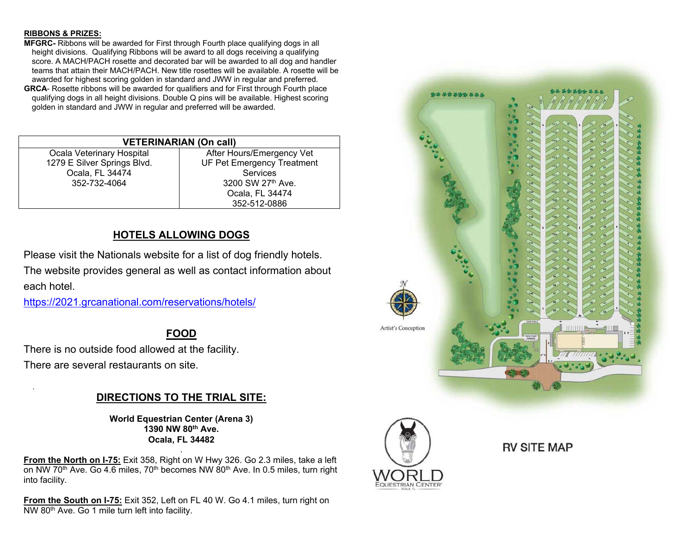### **RIBBONS & PRIZES:**

.

- **MFGRC-** Ribbons will be awarded for First through Fourth place qualifying dogs in all height divisions. Qualifying Ribbons will be award to all dogs receiving a qualifying score. A MACH/PACH rosette and decorated bar will be awarded to all dog and handler teams that attain their MACH/PACH. New title rosettes will be available. A rosette will be awarded for highest scoring golden in standard and JWW in regular and preferred.
- **GRCA** Rosette ribbons will be awarded for qualifiers and for First through Fourth place qualifying dogs in all height divisions. Double Q pins will be available. Highest scoring golden in standard and JWW in regular and preferred will be awarded.

| <b>VETERINARIAN (On call)</b> |                                   |  |  |  |  |
|-------------------------------|-----------------------------------|--|--|--|--|
| Ocala Veterinary Hospital     | After Hours/Emergency Vet         |  |  |  |  |
| 1279 E Silver Springs Blvd.   | <b>UF Pet Emergency Treatment</b> |  |  |  |  |
| Ocala, FL 34474               | Services                          |  |  |  |  |
| 352-732-4064                  | 3200 SW 27th Ave.                 |  |  |  |  |
|                               | Ocala, FL 34474                   |  |  |  |  |
|                               | 352-512-0886                      |  |  |  |  |

### **HOTELS ALLOWING DOGS**

Please visit the Nationals website for a list of dog friendly hotels. The website provides general as well as contact information about each hotel.

https://2021.grcanational.com/reservations/hotels/

## **FOOD**

There is no outside food allowed at the facility. There are several restaurants on site.

### **DIRECTIONS TO THE TRIAL SITE:**

**World Equestrian Center (Arena 3) 1390 NW 80th Ave. Ocala, FL 34482** 

**From the North on I-75:** Exit 358, Right on W Hwy 326. Go 2.3 miles, take a left on NW 70<sup>th</sup> Ave. Go 4.6 miles, 70<sup>th</sup> becomes NW 80<sup>th</sup> Ave. In 0.5 miles, turn right into facility.

.

**From the South on I-75:** Exit 352, Left on FL 40 W. Go 4.1 miles, turn right on NW 80th Ave. Go 1 mile turn left into facility.



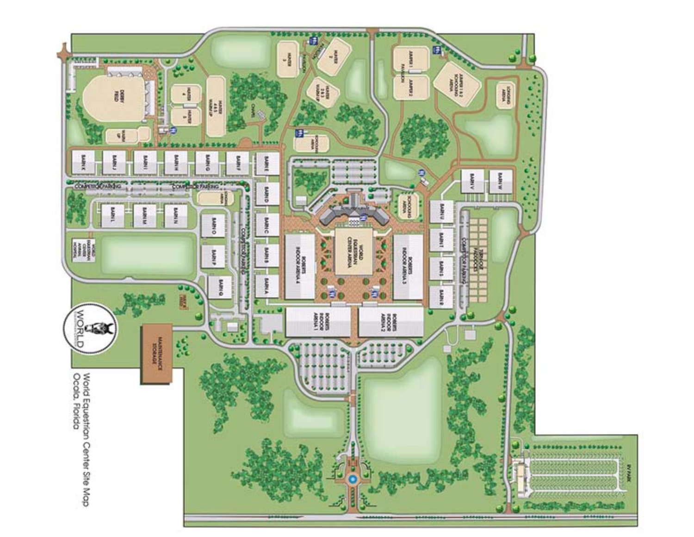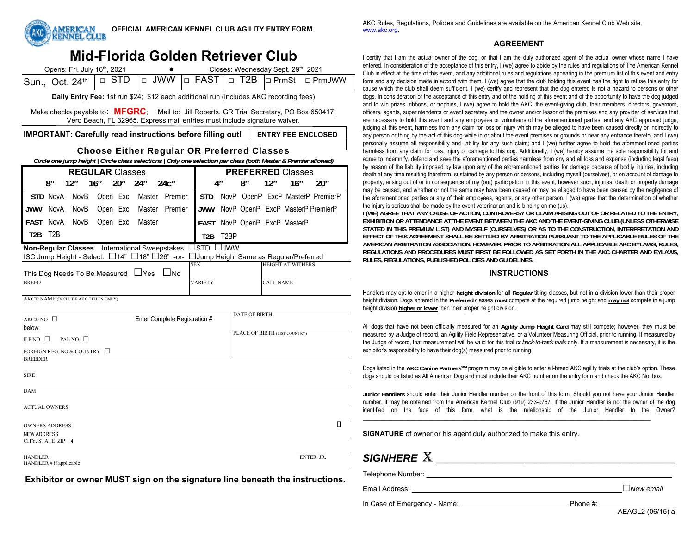

# **Mid-Florida Golden Retriever Club**

| Opens: Fri. July 16 <sup>th</sup> , 2021                                                                                                                              |  | Closes: Wednesday Sept. 29th, 2021 |  |  |
|-----------------------------------------------------------------------------------------------------------------------------------------------------------------------|--|------------------------------------|--|--|
| Sun., Oct. 24 <sup>th</sup> $\boxed{\square}$ STD $\boxed{\square}$ JWW $\boxed{\square}$ FAST $\boxed{\square}$ T2B $\boxed{\square}$ PrmSt $\boxed{\square}$ PrmJWW |  |                                    |  |  |

**Daily Entry Fee:** 1st run \$24; \$12 each additional run (includes AKC recording fees)

Make checks payable to**: MFGRC**; Mail to: Jill Roberts, GR Trial Secretary, PO Box 650417, Vero Beach, FL 32965. Express mail entries must include signature waiver.

**IMPORTANT: Carefully read instructions before filling out!** ENTRY FEE ENCLOSED

### Choose Either Regular OR Preferred Classes

*Circle one jump height | Circle class selections | Only one selection per class (both Master & Premier allowed)* 

| <b>REGULAR</b> Classes                          |                                                                      |                                     |          |     |            |                                               |                                        |                   |    | <b>PREFERRED Classes</b> |                                  |                  |   |
|-------------------------------------------------|----------------------------------------------------------------------|-------------------------------------|----------|-----|------------|-----------------------------------------------|----------------------------------------|-------------------|----|--------------------------|----------------------------------|------------------|---|
|                                                 | 8"                                                                   | 12"                                 | 16"      | 20" | 24"        | $24c$ "                                       |                                        | 4"                | 8″ | 12"                      | 16"                              | 20"              |   |
|                                                 | STD NovA                                                             | NovB                                | Open Exc |     |            | Master Premier                                | <b>STD</b>                             |                   |    |                          | NovP OpenP ExcP MasterP PremierP |                  |   |
| <b>JWW</b>                                      | NovA                                                                 | NovB                                | Open Exc |     | Master     | Premier                                       | JWW                                    |                   |    |                          | NovP OpenP ExcP MasterP PremierP |                  |   |
| FAST NovA                                       |                                                                      | NovB                                | Open Exc |     | Master     |                                               |                                        |                   |    |                          | FAST NovP OpenP ExcP MasterP     |                  |   |
| T2B                                             | T <sub>2</sub> B                                                     |                                     |          |     |            |                                               | T <sub>2</sub> B                       | T <sub>2</sub> BP |    |                          |                                  |                  |   |
|                                                 |                                                                      |                                     |          |     |            | Non-Regular Classes International Sweepstakes | ]std □jww                              |                   |    |                          |                                  |                  |   |
|                                                 |                                                                      |                                     |          |     |            | ISC Jump Height - Select: □14" □18" □26" -or- | JJump Height Same as Regular/Preferred |                   |    |                          |                                  |                  |   |
|                                                 |                                                                      | This Dog Needs To Be Measured       |          |     | $\Box$ Yes | $\Box$ No                                     | <b>SEX</b>                             |                   |    |                          | <b>HEIGHT AT WITHERS</b>         |                  |   |
| <b>BREED</b>                                    |                                                                      |                                     |          |     |            |                                               | <b>VARIETY</b>                         |                   |    | <b>CALL NAME</b>         |                                  |                  |   |
|                                                 |                                                                      | AKC® NAME (INCLUDE AKC TITLES ONLY) |          |     |            |                                               |                                        |                   |    |                          |                                  |                  |   |
|                                                 |                                                                      |                                     |          |     |            |                                               |                                        |                   |    |                          |                                  |                  |   |
| Enter Complete Registration #<br>AKC® NO $\Box$ |                                                                      |                                     |          |     |            |                                               | <b>DATE OF BIRTH</b>                   |                   |    |                          |                                  |                  |   |
| below                                           |                                                                      |                                     |          |     |            |                                               |                                        |                   |    |                          |                                  |                  |   |
|                                                 | PLACE OF BIRTH (LIST COUNTRY)<br>ILP NO. $\Box$<br>PAL NO. $\square$ |                                     |          |     |            |                                               |                                        |                   |    |                          |                                  |                  |   |
|                                                 |                                                                      | FOREIGN REG. NO & COUNTRY $\Box$    |          |     |            |                                               |                                        |                   |    |                          |                                  |                  |   |
| <b>BREEDER</b>                                  |                                                                      |                                     |          |     |            |                                               |                                        |                   |    |                          |                                  |                  |   |
| <b>SIRE</b>                                     |                                                                      |                                     |          |     |            |                                               |                                        |                   |    |                          |                                  |                  |   |
| <b>DAM</b>                                      |                                                                      |                                     |          |     |            |                                               |                                        |                   |    |                          |                                  |                  |   |
| <b>ACTUAL OWNERS</b>                            |                                                                      |                                     |          |     |            |                                               |                                        |                   |    |                          |                                  |                  |   |
| <b>OWNERS ADDRESS</b>                           |                                                                      |                                     |          |     |            |                                               |                                        |                   |    |                          |                                  |                  | п |
|                                                 | <b>NEW ADDRESS</b>                                                   |                                     |          |     |            |                                               |                                        |                   |    |                          |                                  |                  |   |
| CITY, STATE $ZIP + 4$                           |                                                                      |                                     |          |     |            |                                               |                                        |                   |    |                          |                                  |                  |   |
| <b>HANDLER</b><br>HANDLER # if applicable       |                                                                      |                                     |          |     |            |                                               |                                        |                   |    |                          |                                  | <b>ENTER JR.</b> |   |
|                                                 |                                                                      |                                     |          |     |            |                                               |                                        |                   |    |                          |                                  |                  |   |

**Exhibitor or owner MUST sign on the signature line beneath the instructions.**

AKC Rules, Regulations, Policies and Guidelines are available on the American Kennel Club Web site, www.akc.org.

### **AGREEMENT**

I certify that I am the actual owner of the dog, or that I am the duly authorized agent of the actual owner whose name I have entered. In consideration of the acceptance of this entry, I (we) agree to abide by the rules and regulations of The American Kennel Club in effect at the time of this event, and any additional rules and regulations appearing in the premium list of this event and entry form and any decision made in accord with them. I (we) agree that the club holding this event has the right to refuse this entry for cause which the club shall deem sufficient. I (we) certify and represent that the dog entered is not a hazard to persons or other dogs. In consideration of the acceptance of this entry and of the holding of this event and of the opportunity to have the dog judged and to win prizes, ribbons, or trophies, I (we) agree to hold the AKC, the event-giving club, their members, directors, governors, officers, agents, superintendents or event secretary and the owner and/or lessor of the premises and any provider of services that are necessary to hold this event and any employees or volunteers of the aforementioned parties, and any AKC approved judge, judging at this event, harmless from any claim for loss or injury which may be alleged to have been caused directly or indirectly to any person or thing by the act of this dog while in or about the event premises or grounds or near any entrance thereto, and I (we) personally assume all responsibility and liability for any such claim; and I (we) further agree to hold the aforementioned parties harmless from any claim for loss, injury or damage to this dog. Additionally, I (we) hereby assume the sole responsibility for and agree to indemnify, defend and save the aforementioned parties harmless from any and all loss and expense (including legal fees) by reason of the liability imposed by law upon any of the aforementioned parties for damage because of bodily injuries, including death at any time resulting therefrom, sustained by any person or persons, including myself (ourselves), or on account of damage to property, arising out of or in consequence of my (our) participation in this event, however such, injuries, death or property damage may be caused, and whether or not the same may have been caused or may be alleged to have been caused by the negligence of the aforementioned parties or any of their employees, agents, or any other person. I (we) agree that the determination of whether the injury is serious shall be made by the event veterinarian and is binding on me (us).

**I (WE) AGREE THAT ANY CAUSE OF ACTION, CONTROVERSY OR CLAIM ARISING OUT OF OR RELATED TO THE ENTRY, EXHIBITION OR ATTENDANCE AT THE EVENT BETWEEN THE AKC AND THE EVENT-GIVING CLUB (UNLESS OTHERWISE STATED IN THIS PREMIUM LIST) AND MYSELF (OURSELVES) OR AS TO THE CONSTRUCTION, INTERPRETATION AND EFFECT OF THIS AGREEMENT SHALL BE SETTLED BY ARBITRATION PURSUANT TO THE APPLICABLE RULES OF THE AMERICAN ARBITRATION ASSOCIATION. HOWEVER, PRIOR TO ARBITRATION ALL APPLICABLE AKC BYLAWS, RULES, REGULATIONS AND PROCEDURES MUST FIRST BE FOLLOWED AS SET FORTH IN THE AKC CHARTER AND BYLAWS, RULES, REGULATIONS, PUBLISHED POLICIES AND GUIDELINES.** 

### **INSTRUCTIONS**

Handlers may opt to enter in a higher **height division** for all **Regular** titling classes, but not in a division lower than their proper height division. Dogs entered in the **Preferred** classes **must** compete at the required jump height and **may not** compete in a jump height division **higher or lower** than their proper height division.

All dogs that have not been officially measured for an **Agility Jump Height Card** may still compete; however, they must be measured by *a* Judge of record, an Agility Field Representative, or a Volunteer Measuring Official, prior to running. If measured by the Judge of record, that measurement will be valid for this trial *or back-to-back trials* only. If a measurement is necessary, it is the exhibitor's responsibility to have their dog(s) measured prior to running.

Dogs listed in the AKC Canine Partners<sup>SM</sup> program may be eligible to enter all-breed AKC agility trials at the club's option. These dogs should be listed as All American Dog and must include their AKC number on the entry form and check the AKC No. box.

**Junior Handlers** should enter their Junior Handler number on the front of this form. Should you not have your Junior Handler number, it may be obtained from the American Kennel Club (919) 233-9767. If the Junior Handler is not the owner of the dog identified on the face of this form, what is the relationship of the Junior Handler to the Owner?

\_\_\_\_\_\_\_\_\_\_\_\_\_\_\_\_\_\_\_\_\_\_\_\_\_\_\_\_\_\_\_\_\_\_\_\_\_\_\_\_\_\_\_\_\_\_\_\_\_\_\_\_\_\_\_\_\_\_\_\_\_\_\_\_\_\_\_\_\_\_\_\_\_\_\_\_\_\_\_\_\_\_\_\_\_\_\_\_\_\_\_\_\_\_\_\_

**SIGNATURE** of owner or his agent duly authorized to make this entry.

## *SIGNHERE* X **\_\_\_\_\_\_\_\_\_\_\_\_\_\_\_\_\_\_\_\_\_\_\_\_\_\_\_\_\_\_\_\_\_\_\_\_\_\_\_\_\_\_\_\_\_\_\_\_\_\_\_\_\_\_**

Telephone Number: \_\_\_\_\_\_\_\_\_\_\_\_\_\_\_\_\_\_\_\_\_\_\_\_\_\_\_\_\_\_\_\_\_\_\_\_\_\_\_\_\_\_\_\_\_\_\_\_\_\_\_\_\_\_\_\_\_\_\_\_\_\_\_

Email Address: \_\_\_\_\_\_\_\_\_\_\_\_\_\_\_\_\_\_\_\_\_\_\_\_\_\_\_\_\_\_\_\_\_\_\_\_\_\_\_\_\_\_\_\_\_\_\_\_ \_\_\_\_ □*New email*

In Case of Emergency - Name: Name: Phone #: Phone #: Name: Phone #: Phone #: Name: Phone #: Name: Phone #: Name: Phone #: Name: Phone #:  $\frac{1}{2}$